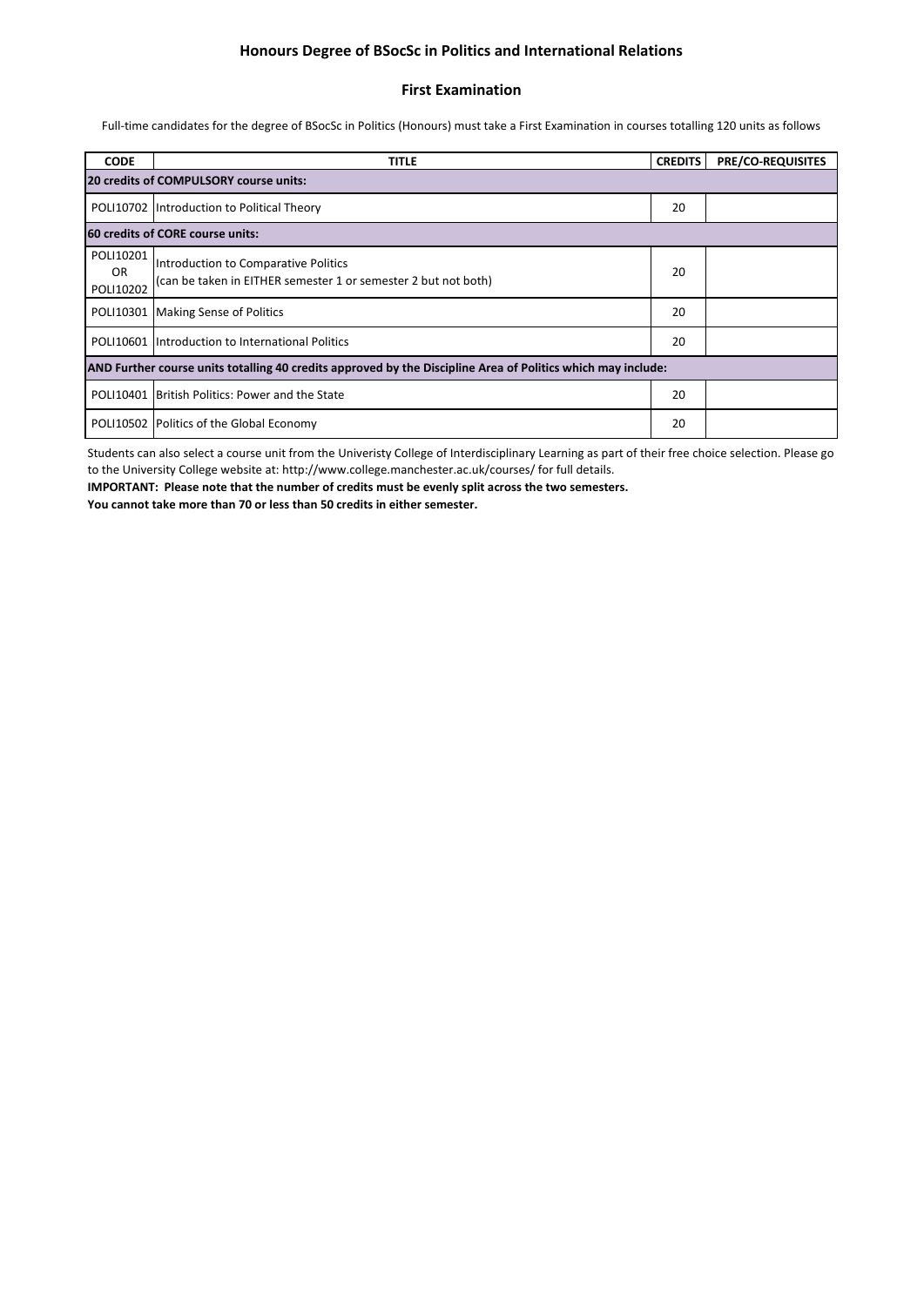### **Honours Degree of BSocSc in Politics and International Relations**

#### **First Examination**

Full-time candidates for the degree of BSocSc in Politics (Honours) must take a First Examination in courses totalling 120 units as follows

| <b>CODE</b>                                                                                                  | <b>TITLE</b>                                                                                           | <b>CREDITS</b> | <b>PRE/CO-REQUISITES</b> |  |  |  |
|--------------------------------------------------------------------------------------------------------------|--------------------------------------------------------------------------------------------------------|----------------|--------------------------|--|--|--|
| 20 credits of COMPULSORY course units:                                                                       |                                                                                                        |                |                          |  |  |  |
|                                                                                                              | POLI10702 Introduction to Political Theory                                                             | 20             |                          |  |  |  |
| <b>60 credits of CORE course units:</b>                                                                      |                                                                                                        |                |                          |  |  |  |
| POLI10201<br>OR.<br>POLI10202                                                                                | Introduction to Comparative Politics<br>(can be taken in EITHER semester 1 or semester 2 but not both) | 20             |                          |  |  |  |
|                                                                                                              | POLI10301   Making Sense of Politics                                                                   | 20             |                          |  |  |  |
|                                                                                                              | POLI10601 Introduction to International Politics                                                       | 20             |                          |  |  |  |
| AND Further course units totalling 40 credits approved by the Discipline Area of Politics which may include: |                                                                                                        |                |                          |  |  |  |
|                                                                                                              | POLI10401 British Politics: Power and the State                                                        | 20             |                          |  |  |  |
|                                                                                                              | POLI10502   Politics of the Global Economy                                                             | 20             |                          |  |  |  |

Students can also select a course unit from the Univeristy College of Interdisciplinary Learning as part of their free choice selection. Please go to the University College website at: http://www.college.manchester.ac.uk/courses/ for full details.

**IMPORTANT: Please note that the number of credits must be evenly split across the two semesters. You cannot take more than 70 or less than 50 credits in either semester.**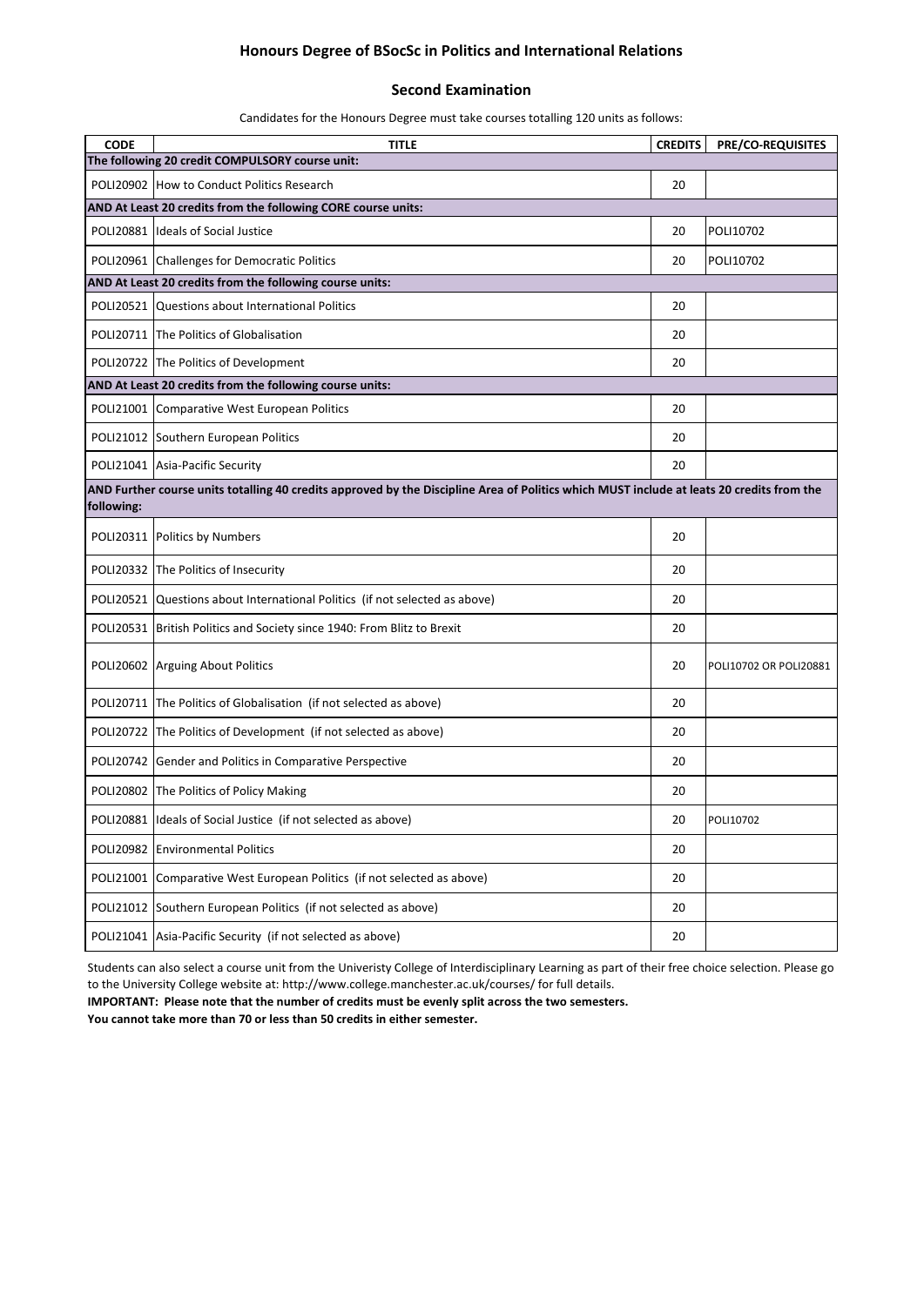# **Honours Degree of BSocSc in Politics and International Relations**

#### **Second Examination**

Candidates for the Honours Degree must take courses totalling 120 units as follows:

| <b>CODE</b>                                                   | <b>TITLE</b>                                                                                                                              | <b>CREDITS</b> | <b>PRE/CO-REQUISITES</b> |  |  |  |
|---------------------------------------------------------------|-------------------------------------------------------------------------------------------------------------------------------------------|----------------|--------------------------|--|--|--|
|                                                               | The following 20 credit COMPULSORY course unit:                                                                                           |                |                          |  |  |  |
|                                                               | POLI20902 How to Conduct Politics Research                                                                                                | 20             |                          |  |  |  |
| AND At Least 20 credits from the following CORE course units: |                                                                                                                                           |                |                          |  |  |  |
|                                                               | POLI20881 Ideals of Social Justice                                                                                                        | 20             | POLI10702                |  |  |  |
|                                                               | POLI20961 Challenges for Democratic Politics                                                                                              | 20             | POLI10702                |  |  |  |
|                                                               | AND At Least 20 credits from the following course units:                                                                                  |                |                          |  |  |  |
|                                                               | POLI20521 Questions about International Politics                                                                                          | 20             |                          |  |  |  |
|                                                               | POLI20711 The Politics of Globalisation                                                                                                   | 20             |                          |  |  |  |
|                                                               | POLI20722 The Politics of Development                                                                                                     | 20             |                          |  |  |  |
|                                                               | AND At Least 20 credits from the following course units:                                                                                  |                |                          |  |  |  |
|                                                               | POLI21001 Comparative West European Politics                                                                                              | 20             |                          |  |  |  |
|                                                               | POLI21012 Southern European Politics                                                                                                      | 20             |                          |  |  |  |
|                                                               | POLI21041 Asia-Pacific Security                                                                                                           | 20             |                          |  |  |  |
|                                                               | AND Further course units totalling 40 credits approved by the Discipline Area of Politics which MUST include at leats 20 credits from the |                |                          |  |  |  |
| following:                                                    |                                                                                                                                           |                |                          |  |  |  |
| POLI20311                                                     | Politics by Numbers                                                                                                                       | 20             |                          |  |  |  |
|                                                               | POLI20332 The Politics of Insecurity                                                                                                      | 20             |                          |  |  |  |
|                                                               | POLI20521 Questions about International Politics (if not selected as above)                                                               | 20             |                          |  |  |  |
|                                                               | POLI20531 British Politics and Society since 1940: From Blitz to Brexit                                                                   | 20             |                          |  |  |  |
|                                                               | POLI20602 Arguing About Politics                                                                                                          | 20             | POLI10702 OR POLI20881   |  |  |  |
|                                                               | POLI20711 The Politics of Globalisation (if not selected as above)                                                                        | 20             |                          |  |  |  |
|                                                               | POLI20722 The Politics of Development (if not selected as above)                                                                          | 20             |                          |  |  |  |
|                                                               | POLI20742 Gender and Politics in Comparative Perspective                                                                                  | 20             |                          |  |  |  |
|                                                               | POLI20802 The Politics of Policy Making                                                                                                   | 20             |                          |  |  |  |
|                                                               | POLI20881 Ideals of Social Justice (if not selected as above)                                                                             | 20             | POLI10702                |  |  |  |
| POLI20982                                                     | <b>Environmental Politics</b>                                                                                                             | 20             |                          |  |  |  |
| POLI21001                                                     | Comparative West European Politics (if not selected as above)                                                                             | 20             |                          |  |  |  |
| POLI21012                                                     | Southern European Politics (if not selected as above)                                                                                     | 20             |                          |  |  |  |
| POLI21041                                                     | Asia-Pacific Security (if not selected as above)                                                                                          | 20             |                          |  |  |  |

Students can also select a course unit from the Univeristy College of Interdisciplinary Learning as part of their free choice selection. Please go to the University College website at: http://www.college.manchester.ac.uk/courses/ for full details.

**IMPORTANT: Please note that the number of credits must be evenly split across the two semesters.** 

**You cannot take more than 70 or less than 50 credits in either semester.**